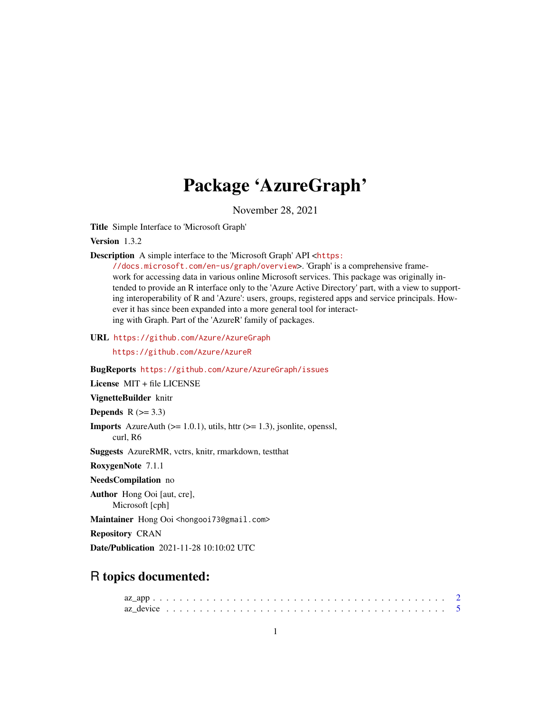# Package 'AzureGraph'

November 28, 2021

<span id="page-0-0"></span>Title Simple Interface to 'Microsoft Graph'

Version 1.3.2

Description A simple interface to the 'Microsoft Graph' API <[https:](https://docs.microsoft.com/en-us/graph/overview)

[//docs.microsoft.com/en-us/graph/overview](https://docs.microsoft.com/en-us/graph/overview)>. 'Graph' is a comprehensive framework for accessing data in various online Microsoft services. This package was originally intended to provide an R interface only to the 'Azure Active Directory' part, with a view to supporting interoperability of R and 'Azure': users, groups, registered apps and service principals. However it has since been expanded into a more general tool for interacting with Graph. Part of the 'AzureR' family of packages.

URL <https://github.com/Azure/AzureGraph>

<https://github.com/Azure/AzureR>

BugReports <https://github.com/Azure/AzureGraph/issues>

License MIT + file LICENSE

VignetteBuilder knitr

Depends  $R$  ( $> = 3.3$ )

**Imports** AzureAuth  $(>= 1.0.1)$ , utils, httr  $(>= 1.3)$ , jsonlite, openssl, curl, R6

Suggests AzureRMR, vctrs, knitr, rmarkdown, testthat

RoxygenNote 7.1.1

NeedsCompilation no

Author Hong Ooi [aut, cre], Microsoft [cph]

Maintainer Hong Ooi <hongooi73@gmail.com>

Repository CRAN

Date/Publication 2021-11-28 10:10:02 UTC

# R topics documented: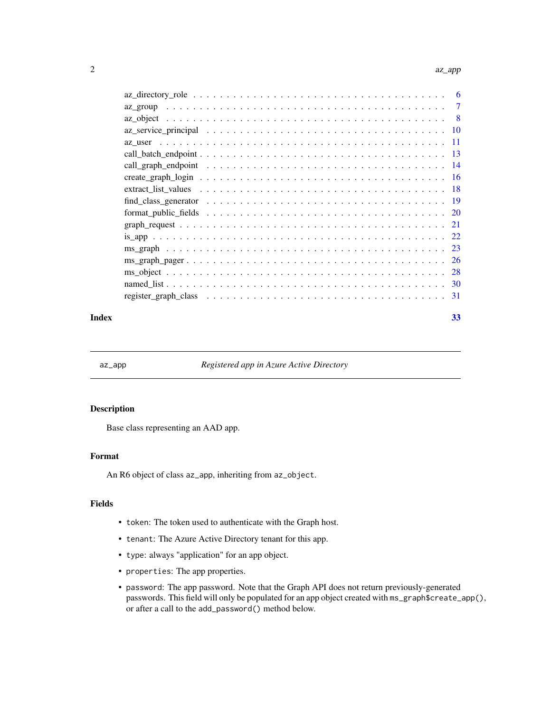<span id="page-1-0"></span>

|  | 6              |
|--|----------------|
|  | $\overline{7}$ |
|  | -8             |
|  |                |
|  | - 11           |
|  | - 13           |
|  | - 14           |
|  | - 16           |
|  |                |
|  |                |
|  |                |
|  | 21             |
|  |                |
|  | 23             |
|  | -26            |
|  |                |
|  |                |
|  |                |
|  |                |

#### **Index** [33](#page-32-0)

<span id="page-1-1"></span>

az\_app *Registered app in Azure Active Directory*

# Description

Base class representing an AAD app.

# Format

An R6 object of class az\_app, inheriting from az\_object.

# Fields

- token: The token used to authenticate with the Graph host.
- tenant: The Azure Active Directory tenant for this app.
- type: always "application" for an app object.
- properties: The app properties.
- password: The app password. Note that the Graph API does not return previously-generated passwords. This field will only be populated for an app object created with ms\_graph\$create\_app(), or after a call to the add\_password() method below.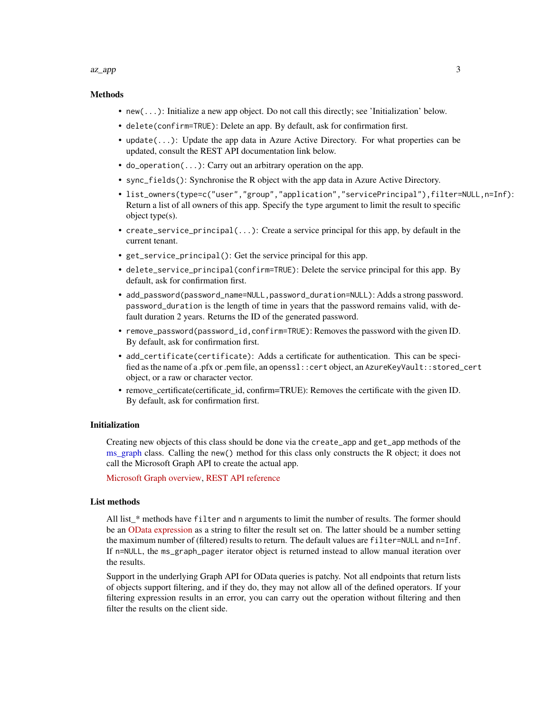#### <span id="page-2-0"></span> $az\_\$ {app} 3

#### Methods

- new(...): Initialize a new app object. Do not call this directly; see 'Initialization' below.
- delete(confirm=TRUE): Delete an app. By default, ask for confirmation first.
- update(...): Update the app data in Azure Active Directory. For what properties can be updated, consult the REST API documentation link below.
- do\_operation(...): Carry out an arbitrary operation on the app.
- sync\_fields(): Synchronise the R object with the app data in Azure Active Directory.
- list\_owners(type=c("user","group","application","servicePrincipal"),filter=NULL,n=Inf): Return a list of all owners of this app. Specify the type argument to limit the result to specific object type(s).
- create\_service\_principal(...): Create a service principal for this app, by default in the current tenant.
- get\_service\_principal(): Get the service principal for this app.
- delete\_service\_principal(confirm=TRUE): Delete the service principal for this app. By default, ask for confirmation first.
- add\_password(password\_name=NULL,password\_duration=NULL): Adds a strong password. password\_duration is the length of time in years that the password remains valid, with default duration 2 years. Returns the ID of the generated password.
- remove\_password(password\_id,confirm=TRUE): Removes the password with the given ID. By default, ask for confirmation first.
- add\_certificate(certificate): Adds a certificate for authentication. This can be specified as the name of a .pfx or .pem file, an openssl::cert object, an AzureKeyVault::stored\_cert object, or a raw or character vector.
- remove\_certificate(certificate\_id, confirm=TRUE): Removes the certificate with the given ID. By default, ask for confirmation first.

# Initialization

Creating new objects of this class should be done via the create\_app and get\_app methods of the ms graph class. Calling the new() method for this class only constructs the R object; it does not call the Microsoft Graph API to create the actual app.

[Microsoft Graph overview,](https://docs.microsoft.com/en-us/graph/overview) [REST API reference](https://docs.microsoft.com/en-us/graph/api/overview?view=graph-rest-beta)

# List methods

All list\_\* methods have filter and n arguments to limit the number of results. The former should be an [OData expression](https://docs.microsoft.com/en-us/graph/query-parameters#filter-parameter) as a string to filter the result set on. The latter should be a number setting the maximum number of (filtered) results to return. The default values are filter=NULL and n=Inf. If n=NULL, the ms\_graph\_pager iterator object is returned instead to allow manual iteration over the results.

Support in the underlying Graph API for OData queries is patchy. Not all endpoints that return lists of objects support filtering, and if they do, they may not allow all of the defined operators. If your filtering expression results in an error, you can carry out the operation without filtering and then filter the results on the client side.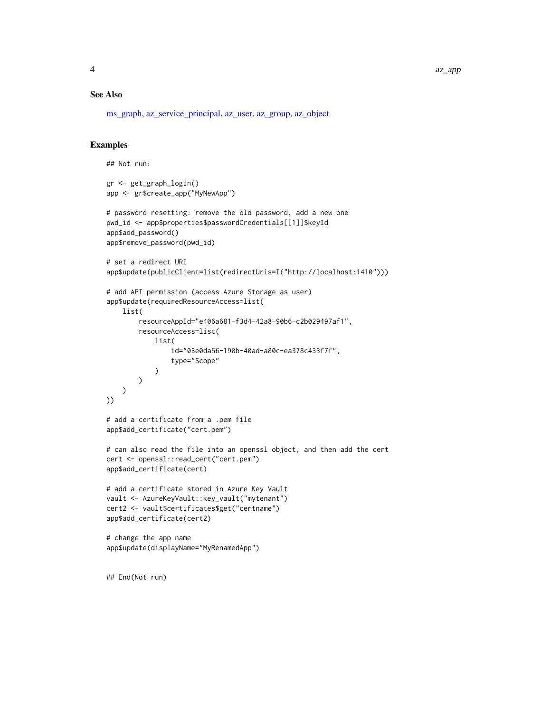# <span id="page-3-0"></span>See Also

[ms\\_graph,](#page-22-1) [az\\_service\\_principal,](#page-9-1) [az\\_user,](#page-10-1) [az\\_group,](#page-6-1) [az\\_object](#page-7-1)

#### Examples

```
## Not run:
gr <- get_graph_login()
app <- gr$create_app("MyNewApp")
# password resetting: remove the old password, add a new one
pwd_id <- app$properties$passwordCredentials[[1]]$keyId
app$add_password()
app$remove_password(pwd_id)
# set a redirect URI
app$update(publicClient=list(redirectUris=I("http://localhost:1410")))
# add API permission (access Azure Storage as user)
app$update(requiredResourceAccess=list(
   list(
        resourceAppId="e406a681-f3d4-42a8-90b6-c2b029497af1",
        resourceAccess=list(
            list(
                id="03e0da56-190b-40ad-a80c-ea378c433f7f",
                type="Scope"
            )
        )
   )
))
# add a certificate from a .pem file
app$add_certificate("cert.pem")
# can also read the file into an openssl object, and then add the cert
cert <- openssl::read_cert("cert.pem")
app$add_certificate(cert)
# add a certificate stored in Azure Key Vault
vault <- AzureKeyVault::key_vault("mytenant")
cert2 <- vault$certificates$get("certname")
app$add_certificate(cert2)
# change the app name
app$update(displayName="MyRenamedApp")
## End(Not run)
```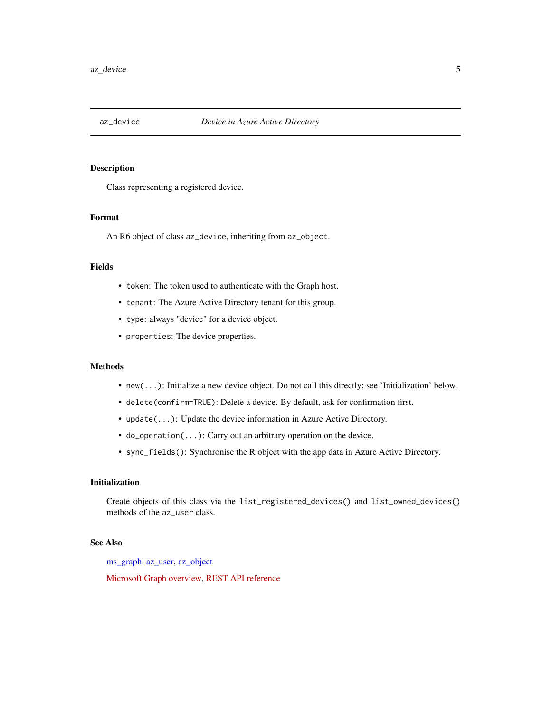<span id="page-4-1"></span><span id="page-4-0"></span>

# **Description**

Class representing a registered device.

# Format

An R6 object of class az\_device, inheriting from az\_object.

# Fields

- token: The token used to authenticate with the Graph host.
- tenant: The Azure Active Directory tenant for this group.
- type: always "device" for a device object.
- properties: The device properties.

# Methods

- new(...): Initialize a new device object. Do not call this directly; see 'Initialization' below.
- delete(confirm=TRUE): Delete a device. By default, ask for confirmation first.
- update(...): Update the device information in Azure Active Directory.
- do\_operation(...): Carry out an arbitrary operation on the device.
- sync\_fields(): Synchronise the R object with the app data in Azure Active Directory.

# Initialization

Create objects of this class via the list\_registered\_devices() and list\_owned\_devices() methods of the az\_user class.

#### See Also

[ms\\_graph,](#page-22-1) [az\\_user,](#page-10-1) [az\\_object](#page-7-1)

[Microsoft Graph overview,](https://docs.microsoft.com/en-us/graph/overview) [REST API reference](https://docs.microsoft.com/en-us/graph/api/overview?view=graph-rest-1.0)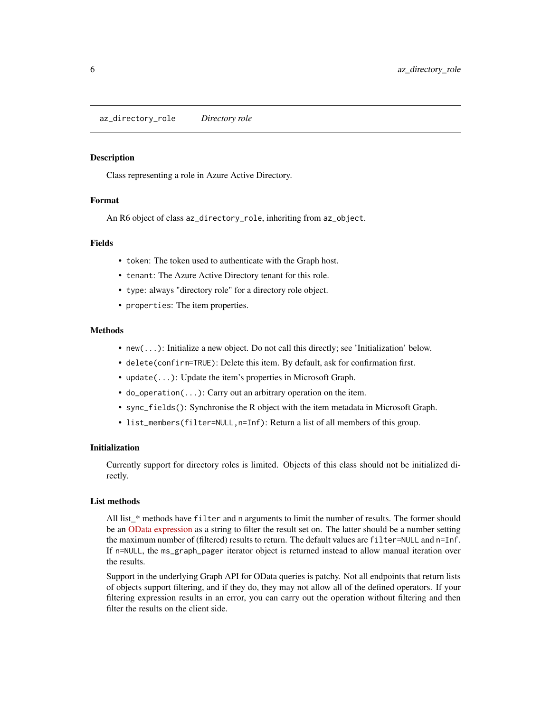<span id="page-5-0"></span>az\_directory\_role *Directory role*

# Description

Class representing a role in Azure Active Directory.

# Format

An R6 object of class az\_directory\_role, inheriting from az\_object.

# Fields

- token: The token used to authenticate with the Graph host.
- tenant: The Azure Active Directory tenant for this role.
- type: always "directory role" for a directory role object.
- properties: The item properties.

# Methods

- new(...): Initialize a new object. Do not call this directly; see 'Initialization' below.
- delete(confirm=TRUE): Delete this item. By default, ask for confirmation first.
- update(...): Update the item's properties in Microsoft Graph.
- do\_operation(...): Carry out an arbitrary operation on the item.
- sync\_fields(): Synchronise the R object with the item metadata in Microsoft Graph.
- list\_members(filter=NULL, n=Inf): Return a list of all members of this group.

#### Initialization

Currently support for directory roles is limited. Objects of this class should not be initialized directly.

# List methods

All list\_\* methods have filter and n arguments to limit the number of results. The former should be an [OData expression](https://docs.microsoft.com/en-us/graph/query-parameters#filter-parameter) as a string to filter the result set on. The latter should be a number setting the maximum number of (filtered) results to return. The default values are filter=NULL and n=Inf. If n=NULL, the ms\_graph\_pager iterator object is returned instead to allow manual iteration over the results.

Support in the underlying Graph API for OData queries is patchy. Not all endpoints that return lists of objects support filtering, and if they do, they may not allow all of the defined operators. If your filtering expression results in an error, you can carry out the operation without filtering and then filter the results on the client side.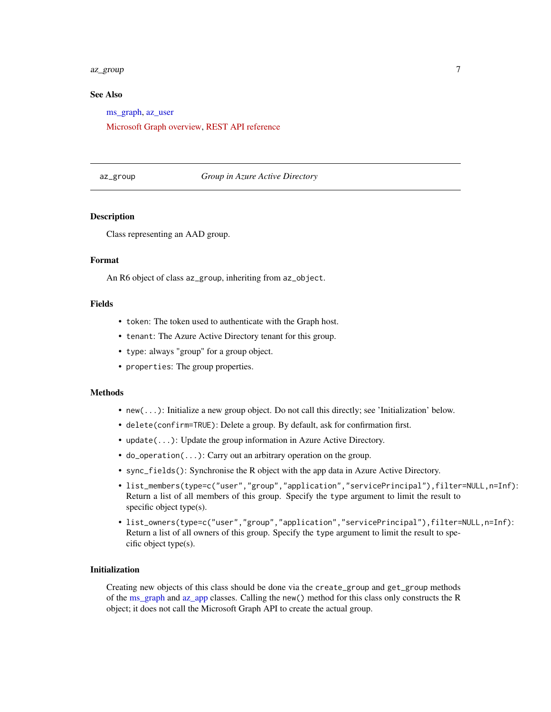#### <span id="page-6-0"></span>az\_group 7

#### See Also

[ms\\_graph,](#page-22-1) [az\\_user](#page-10-1)

[Microsoft Graph overview,](https://docs.microsoft.com/en-us/graph/overview) [REST API reference](https://docs.microsoft.com/en-us/graph/api/overview?view=graph-rest-1.0)

<span id="page-6-1"></span>az\_group *Group in Azure Active Directory*

# Description

Class representing an AAD group.

## Format

An R6 object of class az\_group, inheriting from az\_object.

#### Fields

- token: The token used to authenticate with the Graph host.
- tenant: The Azure Active Directory tenant for this group.
- type: always "group" for a group object.
- properties: The group properties.

#### Methods

- new(...): Initialize a new group object. Do not call this directly; see 'Initialization' below.
- delete(confirm=TRUE): Delete a group. By default, ask for confirmation first.
- update(...): Update the group information in Azure Active Directory.
- do\_operation(...): Carry out an arbitrary operation on the group.
- sync\_fields(): Synchronise the R object with the app data in Azure Active Directory.
- list\_members(type=c("user","group","application","servicePrincipal"),filter=NULL,n=Inf): Return a list of all members of this group. Specify the type argument to limit the result to specific object type(s).
- list\_owners(type=c("user","group","application","servicePrincipal"),filter=NULL,n=Inf): Return a list of all owners of this group. Specify the type argument to limit the result to specific object type(s).

#### Initialization

Creating new objects of this class should be done via the create\_group and get\_group methods of the [ms\\_graph](#page-22-1) and [az\\_app](#page-1-1) classes. Calling the new() method for this class only constructs the R object; it does not call the Microsoft Graph API to create the actual group.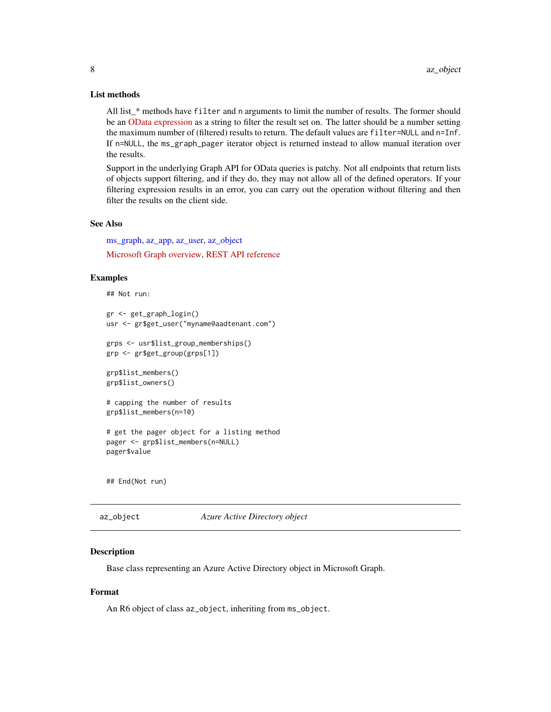#### <span id="page-7-0"></span>List methods

All list \* methods have filter and n arguments to limit the number of results. The former should be an [OData expression](https://docs.microsoft.com/en-us/graph/query-parameters#filter-parameter) as a string to filter the result set on. The latter should be a number setting the maximum number of (filtered) results to return. The default values are filter=NULL and n=Inf. If n=NULL, the ms\_graph\_pager iterator object is returned instead to allow manual iteration over the results.

Support in the underlying Graph API for OData queries is patchy. Not all endpoints that return lists of objects support filtering, and if they do, they may not allow all of the defined operators. If your filtering expression results in an error, you can carry out the operation without filtering and then filter the results on the client side.

# See Also

[ms\\_graph,](#page-22-1) [az\\_app,](#page-1-1) [az\\_user,](#page-10-1) [az\\_object](#page-7-1) [Microsoft Graph overview,](https://docs.microsoft.com/en-us/graph/overview) [REST API reference](https://docs.microsoft.com/en-us/graph/api/overview?view=graph-rest-1.0)

# Examples

```
## Not run:
```

```
gr <- get_graph_login()
usr <- gr$get_user("myname@aadtenant.com")
```

```
grps <- usr$list_group_memberships()
grp <- gr$get_group(grps[1])
```
grp\$list\_members() grp\$list\_owners()

```
# capping the number of results
grp$list_members(n=10)
```

```
# get the pager object for a listing method
pager <- grp$list_members(n=NULL)
pager$value
```
## End(Not run)

```
az_object Azure Active Directory object
```
# Description

Base class representing an Azure Active Directory object in Microsoft Graph.

# Format

An R6 object of class az\_object, inheriting from ms\_object.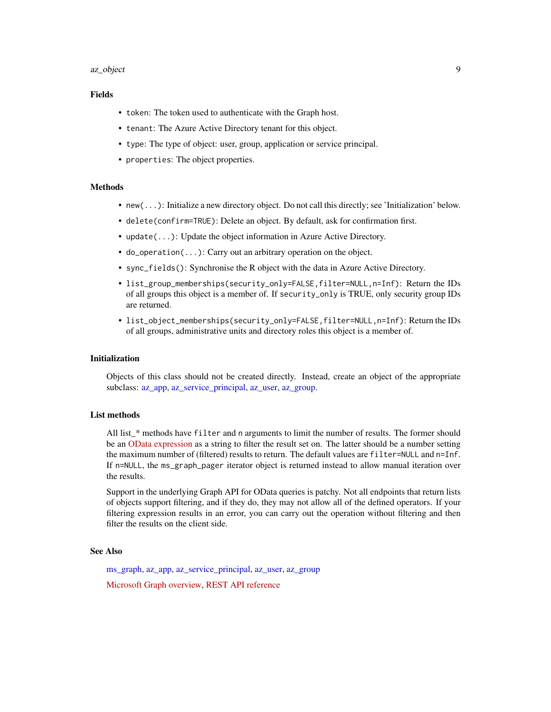#### <span id="page-8-0"></span>az\_object 9

# Fields

- token: The token used to authenticate with the Graph host.
- tenant: The Azure Active Directory tenant for this object.
- type: The type of object: user, group, application or service principal.
- properties: The object properties.

#### Methods

- new(...): Initialize a new directory object. Do not call this directly; see 'Initialization' below.
- delete(confirm=TRUE): Delete an object. By default, ask for confirmation first.
- update(...): Update the object information in Azure Active Directory.
- do\_operation(...): Carry out an arbitrary operation on the object.
- sync\_fields(): Synchronise the R object with the data in Azure Active Directory.
- list\_group\_memberships(security\_only=FALSE,filter=NULL,n=Inf): Return the IDs of all groups this object is a member of. If security\_only is TRUE, only security group IDs are returned.
- list\_object\_memberships(security\_only=FALSE,filter=NULL,n=Inf): Return the IDs of all groups, administrative units and directory roles this object is a member of.

#### Initialization

Objects of this class should not be created directly. Instead, create an object of the appropriate subclass: [az\\_app,](#page-1-1) [az\\_service\\_principal,](#page-9-1) [az\\_user,](#page-10-1) [az\\_group.](#page-6-1)

#### List methods

All list\_\* methods have filter and n arguments to limit the number of results. The former should be an [OData expression](https://docs.microsoft.com/en-us/graph/query-parameters#filter-parameter) as a string to filter the result set on. The latter should be a number setting the maximum number of (filtered) results to return. The default values are filter=NULL and n=Inf. If n=NULL, the ms\_graph\_pager iterator object is returned instead to allow manual iteration over the results.

Support in the underlying Graph API for OData queries is patchy. Not all endpoints that return lists of objects support filtering, and if they do, they may not allow all of the defined operators. If your filtering expression results in an error, you can carry out the operation without filtering and then filter the results on the client side.

#### See Also

[ms\\_graph,](#page-22-1) [az\\_app,](#page-1-1) [az\\_service\\_principal,](#page-9-1) [az\\_user,](#page-10-1) [az\\_group](#page-6-1)

[Microsoft Graph overview,](https://docs.microsoft.com/en-us/graph/overview) [REST API reference](https://docs.microsoft.com/en-us/graph/api/overview?view=graph-rest-1.0)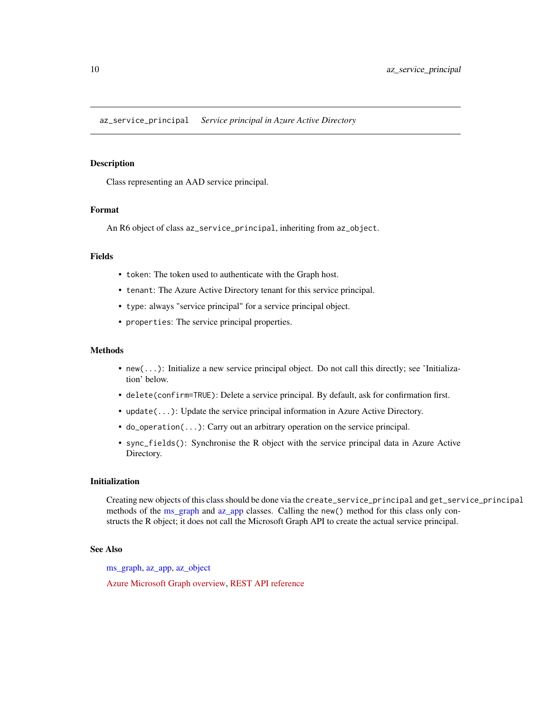<span id="page-9-1"></span><span id="page-9-0"></span>az\_service\_principal *Service principal in Azure Active Directory*

# Description

Class representing an AAD service principal.

# Format

An R6 object of class az\_service\_principal, inheriting from az\_object.

#### Fields

- token: The token used to authenticate with the Graph host.
- tenant: The Azure Active Directory tenant for this service principal.
- type: always "service principal" for a service principal object.
- properties: The service principal properties.

#### Methods

- new(...): Initialize a new service principal object. Do not call this directly; see 'Initialization' below.
- delete(confirm=TRUE): Delete a service principal. By default, ask for confirmation first.
- update(...): Update the service principal information in Azure Active Directory.
- do\_operation(...): Carry out an arbitrary operation on the service principal.
- sync\_fields(): Synchronise the R object with the service principal data in Azure Active Directory.

#### Initialization

Creating new objects of this class should be done via the create\_service\_principal and get\_service\_principal methods of the [ms\\_graph](#page-22-1) and [az\\_app](#page-1-1) classes. Calling the new() method for this class only constructs the R object; it does not call the Microsoft Graph API to create the actual service principal.

# See Also

[ms\\_graph,](#page-22-1) [az\\_app,](#page-1-1) [az\\_object](#page-7-1)

[Azure Microsoft Graph overview,](https://docs.microsoft.com/en-us/graph/overview) [REST API reference](https://docs.microsoft.com/en-us/graph/api/overview?view=graph-rest-1.0)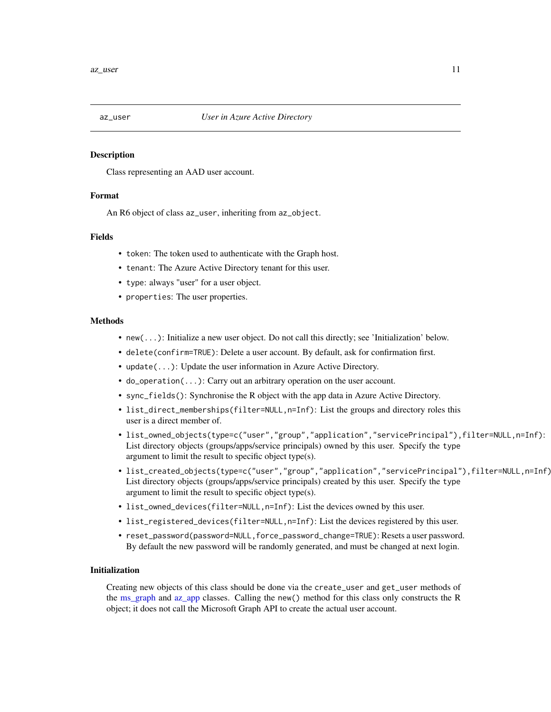<span id="page-10-1"></span><span id="page-10-0"></span>

#### Description

Class representing an AAD user account.

#### Format

An R6 object of class az\_user, inheriting from az\_object.

# Fields

- token: The token used to authenticate with the Graph host.
- tenant: The Azure Active Directory tenant for this user.
- type: always "user" for a user object.
- properties: The user properties.

#### Methods

- new(...): Initialize a new user object. Do not call this directly; see 'Initialization' below.
- delete(confirm=TRUE): Delete a user account. By default, ask for confirmation first.
- update(...): Update the user information in Azure Active Directory.
- do\_operation(...): Carry out an arbitrary operation on the user account.
- sync\_fields(): Synchronise the R object with the app data in Azure Active Directory.
- list\_direct\_memberships(filter=NULL,n=Inf): List the groups and directory roles this user is a direct member of.
- list\_owned\_objects(type=c("user","group","application","servicePrincipal"),filter=NULL,n=Inf): List directory objects (groups/apps/service principals) owned by this user. Specify the type argument to limit the result to specific object type(s).
- list\_created\_objects(type=c("user","group","application","servicePrincipal"),filter=NULL,n=Inf): List directory objects (groups/apps/service principals) created by this user. Specify the type argument to limit the result to specific object type(s).
- list\_owned\_devices(filter=NULL,n=Inf): List the devices owned by this user.
- list\_registered\_devices(filter=NULL,n=Inf): List the devices registered by this user.
- reset\_password(password=NULL,force\_password\_change=TRUE): Resets a user password. By default the new password will be randomly generated, and must be changed at next login.

#### Initialization

Creating new objects of this class should be done via the create\_user and get\_user methods of the [ms\\_graph](#page-22-1) and [az\\_app](#page-1-1) classes. Calling the new() method for this class only constructs the R object; it does not call the Microsoft Graph API to create the actual user account.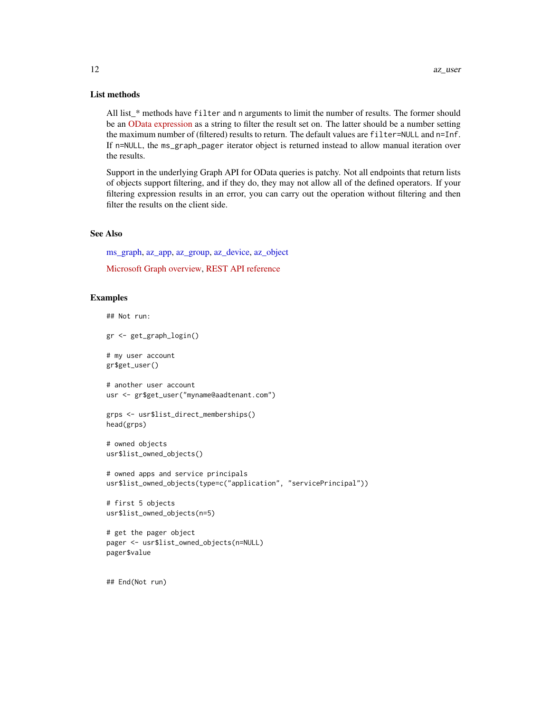# <span id="page-11-0"></span>List methods

All list\_\* methods have filter and n arguments to limit the number of results. The former should be an [OData expression](https://docs.microsoft.com/en-us/graph/query-parameters#filter-parameter) as a string to filter the result set on. The latter should be a number setting the maximum number of (filtered) results to return. The default values are filter=NULL and n=Inf. If n=NULL, the ms\_graph\_pager iterator object is returned instead to allow manual iteration over the results.

Support in the underlying Graph API for OData queries is patchy. Not all endpoints that return lists of objects support filtering, and if they do, they may not allow all of the defined operators. If your filtering expression results in an error, you can carry out the operation without filtering and then filter the results on the client side.

# See Also

[ms\\_graph,](#page-22-1) [az\\_app,](#page-1-1) [az\\_group,](#page-6-1) [az\\_device,](#page-4-1) [az\\_object](#page-7-1) [Microsoft Graph overview,](https://docs.microsoft.com/en-us/graph/overview) [REST API reference](https://docs.microsoft.com/en-us/graph/api/overview?view=graph-rest-1.0)

#### Examples

```
## Not run:
```
gr <- get\_graph\_login()

# my user account gr\$get\_user()

```
# another user account
usr <- gr$get_user("myname@aadtenant.com")
```

```
grps <- usr$list_direct_memberships()
head(grps)
```

```
# owned objects
usr$list_owned_objects()
```

```
# owned apps and service principals
usr$list_owned_objects(type=c("application", "servicePrincipal"))
```

```
# first 5 objects
usr$list_owned_objects(n=5)
```

```
# get the pager object
pager <- usr$list_owned_objects(n=NULL)
pager$value
```
## End(Not run)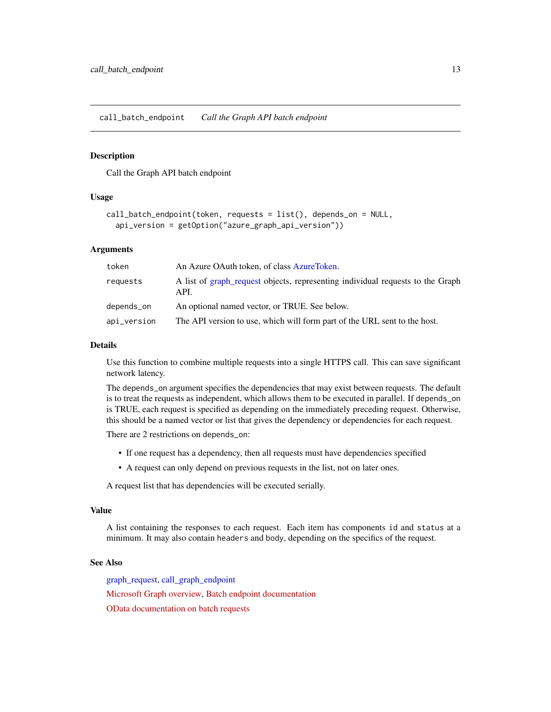<span id="page-12-1"></span><span id="page-12-0"></span>call\_batch\_endpoint *Call the Graph API batch endpoint*

#### Description

Call the Graph API batch endpoint

# Usage

```
call_batch_endpoint(token, requests = list(), depends_on = NULL,
  api_version = getOption("azure_graph_api_version"))
```
# Arguments

| token       | An Azure OAuth token, of class AzureToken.                                             |
|-------------|----------------------------------------------------------------------------------------|
| requests    | A list of graph request objects, representing individual requests to the Graph<br>API. |
| depends_on  | An optional named vector, or TRUE. See below.                                          |
| api_version | The API version to use, which will form part of the URL sent to the host.              |

# Details

Use this function to combine multiple requests into a single HTTPS call. This can save significant network latency.

The depends\_on argument specifies the dependencies that may exist between requests. The default is to treat the requests as independent, which allows them to be executed in parallel. If depends\_on is TRUE, each request is specified as depending on the immediately preceding request. Otherwise, this should be a named vector or list that gives the dependency or dependencies for each request.

There are 2 restrictions on depends\_on:

- If one request has a dependency, then all requests must have dependencies specified
- A request can only depend on previous requests in the list, not on later ones.

A request list that has dependencies will be executed serially.

#### Value

A list containing the responses to each request. Each item has components id and status at a minimum. It may also contain headers and body, depending on the specifics of the request.

# See Also

[graph\\_request,](#page-20-1) [call\\_graph\\_endpoint](#page-13-1) [Microsoft Graph overview,](https://docs.microsoft.com/en-us/graph/overview) [Batch endpoint documentation](https://docs.microsoft.com/en-us/graph/json-batching) [OData documentation on batch requests](https://docs.oasis-open.org/odata/odata-json-format/v4.01/odata-json-format-v4.01.html#sec_BatchRequestsandResponses)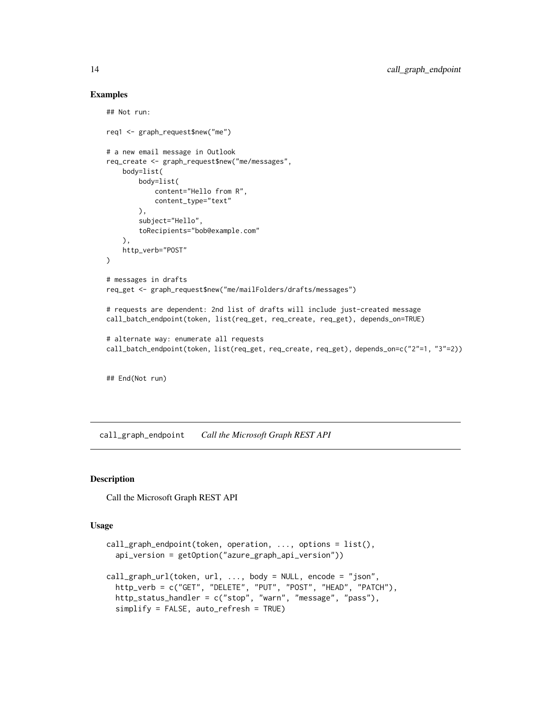#### Examples

```
## Not run:
req1 <- graph_request$new("me")
# a new email message in Outlook
req_create <- graph_request$new("me/messages",
   body=list(
       body=list(
            content="Hello from R",
            content_type="text"
        ),
        subject="Hello",
       toRecipients="bob@example.com"
   ),
   http_verb="POST"
)
# messages in drafts
req_get <- graph_request$new("me/mailFolders/drafts/messages")
# requests are dependent: 2nd list of drafts will include just-created message
call_batch_endpoint(token, list(req_get, req_create, req_get), depends_on=TRUE)
# alternate way: enumerate all requests
call_batch_endpoint(token, list(req_get, req_create, req_get), depends_on=c("2"=1, "3"=2))
```
## End(Not run)

<span id="page-13-1"></span>call\_graph\_endpoint *Call the Microsoft Graph REST API*

# Description

Call the Microsoft Graph REST API

#### Usage

```
call_graph_endpoint(token, operation, ..., options = list(),
  api_version = getOption("azure_graph_api_version"))
call_graph_url(token, url, \dots, body = NULL, encode = "json",
  http_verb = c("GET", "DELETE", "PUT", "POST", "HEAD", "PATCH"),
 http_status_handler = c("stop", "warn", "message", "pass"),
  simplify = FALSE, auto_refresh = TRUE)
```
<span id="page-13-0"></span>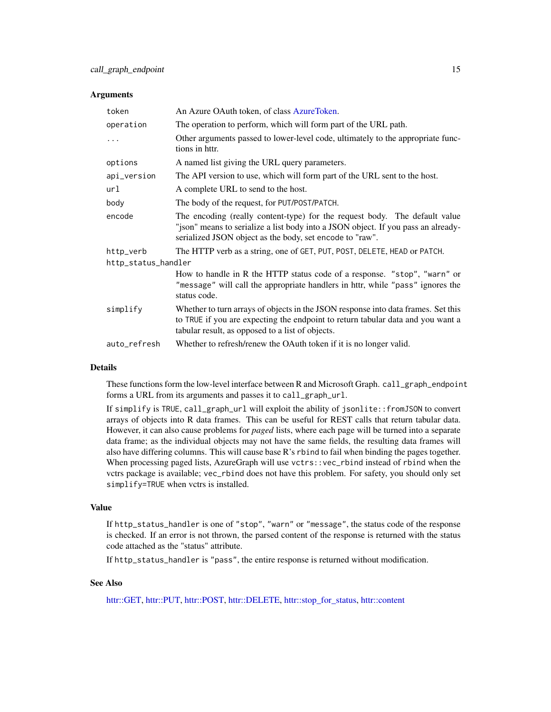#### <span id="page-14-0"></span>**Arguments**

| token               | An Azure OAuth token, of class AzureToken.                                                                                                                                                                                  |  |  |  |  |  |
|---------------------|-----------------------------------------------------------------------------------------------------------------------------------------------------------------------------------------------------------------------------|--|--|--|--|--|
| operation           | The operation to perform, which will form part of the URL path.                                                                                                                                                             |  |  |  |  |  |
| .                   | Other arguments passed to lower-level code, ultimately to the appropriate func-<br>tions in httr.                                                                                                                           |  |  |  |  |  |
| options             | A named list giving the URL query parameters.                                                                                                                                                                               |  |  |  |  |  |
| api_version         | The API version to use, which will form part of the URL sent to the host.                                                                                                                                                   |  |  |  |  |  |
| url                 | A complete URL to send to the host.                                                                                                                                                                                         |  |  |  |  |  |
| body                | The body of the request, for PUT/POST/PATCH.                                                                                                                                                                                |  |  |  |  |  |
| encode              | The encoding (really content-type) for the request body. The default value<br>"json" means to serialize a list body into a JSON object. If you pass an already-<br>serialized JSON object as the body, set encode to "raw". |  |  |  |  |  |
| http_verb           | The HTTP verb as a string, one of GET, PUT, POST, DELETE, HEAD or PATCH.                                                                                                                                                    |  |  |  |  |  |
| http_status_handler |                                                                                                                                                                                                                             |  |  |  |  |  |
|                     | How to handle in R the HTTP status code of a response. "stop", "warn" or<br>"message" will call the appropriate handlers in httr, while "pass" ignores the<br>status code.                                                  |  |  |  |  |  |
| simplify            | Whether to turn arrays of objects in the JSON response into data frames. Set this<br>to TRUE if you are expecting the endpoint to return tabular data and you want a<br>tabular result, as opposed to a list of objects.    |  |  |  |  |  |
| auto_refresh        | Whether to refresh/renew the OAuth token if it is no longer valid.                                                                                                                                                          |  |  |  |  |  |

# Details

These functions form the low-level interface between R and Microsoft Graph. call\_graph\_endpoint forms a URL from its arguments and passes it to call\_graph\_url.

If simplify is TRUE, call\_graph\_url will exploit the ability of jsonlite::fromJSON to convert arrays of objects into R data frames. This can be useful for REST calls that return tabular data. However, it can also cause problems for *paged* lists, where each page will be turned into a separate data frame; as the individual objects may not have the same fields, the resulting data frames will also have differing columns. This will cause base R's rbind to fail when binding the pages together. When processing paged lists, AzureGraph will use vctrs::vec\_rbind instead of rbind when the vctrs package is available; vec\_rbind does not have this problem. For safety, you should only set simplify=TRUE when vctrs is installed.

#### Value

If http\_status\_handler is one of "stop", "warn" or "message", the status code of the response is checked. If an error is not thrown, the parsed content of the response is returned with the status code attached as the "status" attribute.

If http\_status\_handler is "pass", the entire response is returned without modification.

#### See Also

[httr::GET,](#page-0-0) [httr::PUT,](#page-0-0) [httr::POST,](#page-0-0) [httr::DELETE,](#page-0-0) [httr::stop\\_for\\_status,](#page-0-0) [httr::content](#page-0-0)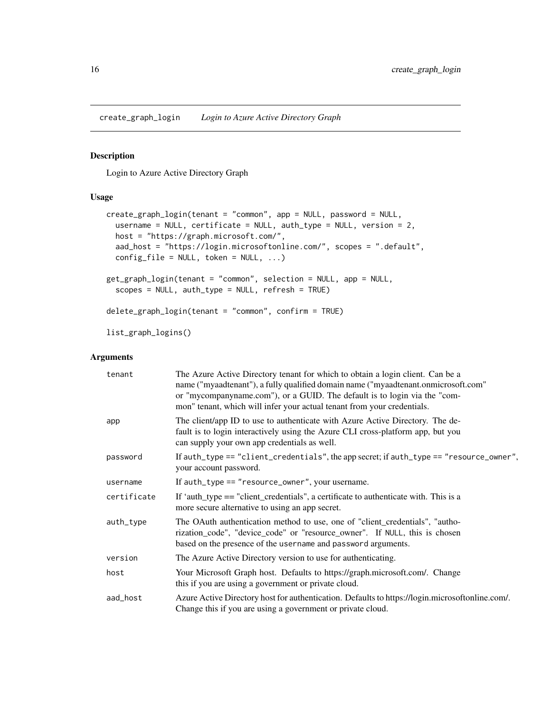<span id="page-15-1"></span><span id="page-15-0"></span>create\_graph\_login *Login to Azure Active Directory Graph*

#### <span id="page-15-2"></span>Description

Login to Azure Active Directory Graph

# Usage

```
create_graph_login(tenant = "common", app = NULL, password = NULL,
  username = NULL, certificate = NULL, auth_type = NULL, version = 2,
 host = "https://graph.microsoft.com/",
  aad_host = "https://login.microsoftonline.com/", scopes = ".default",
  config_file = NULL, token = NULL, ...)get_graph_login(tenant = "common", selection = NULL, app = NULL,
  scopes = NULL, auth_type = NULL, refresh = TRUE)
delete_graph_login(tenant = "common", confirm = TRUE)
```
list\_graph\_logins()

# Arguments

| tenant      | The Azure Active Directory tenant for which to obtain a login client. Can be a<br>name ("myaadtenant"), a fully qualified domain name ("myaadtenant.onmicrosoft.com"<br>or "mycompanyname.com"), or a GUID. The default is to login via the "com-<br>mon" tenant, which will infer your actual tenant from your credentials. |
|-------------|------------------------------------------------------------------------------------------------------------------------------------------------------------------------------------------------------------------------------------------------------------------------------------------------------------------------------|
| app         | The client/app ID to use to authenticate with Azure Active Directory. The de-<br>fault is to login interactively using the Azure CLI cross-platform app, but you<br>can supply your own app credentials as well.                                                                                                             |
| password    | If auth_type == "client_credentials", the app secret; if auth_type == "resource_owner",<br>your account password.                                                                                                                                                                                                            |
| username    | If auth_type == "resource_owner", your username.                                                                                                                                                                                                                                                                             |
| certificate | If 'auth_type == "client_credentials", a certificate to authenticate with. This is a<br>more secure alternative to using an app secret.                                                                                                                                                                                      |
| auth_type   | The OAuth authentication method to use, one of "client_credentials", "autho-<br>rization_code", "device_code" or "resource_owner". If NULL, this is chosen<br>based on the presence of the username and password arguments.                                                                                                  |
| version     | The Azure Active Directory version to use for authenticating.                                                                                                                                                                                                                                                                |
| host        | Your Microsoft Graph host. Defaults to https://graph.microsoft.com/. Change<br>this if you are using a government or private cloud.                                                                                                                                                                                          |
| aad_host    | Azure Active Directory host for authentication. Defaults to https://login.microsoftonline.com/.<br>Change this if you are using a government or private cloud.                                                                                                                                                               |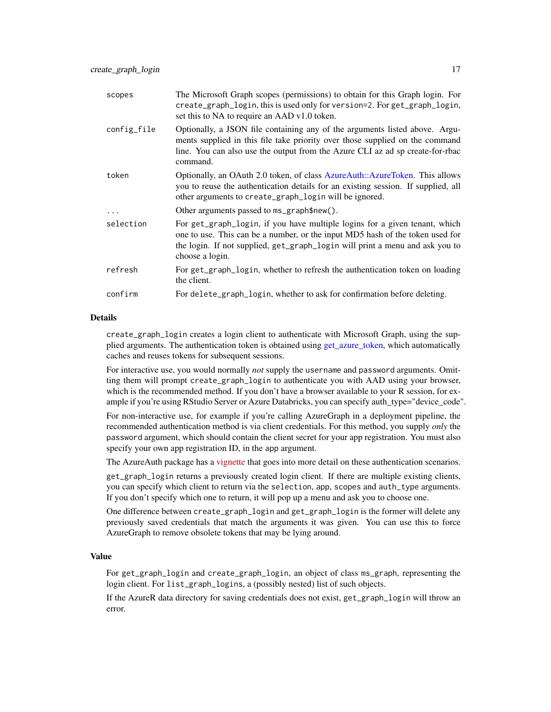<span id="page-16-0"></span>

| scopes      | The Microsoft Graph scopes (permissions) to obtain for this Graph login. For<br>create_graph_login, this is used only for version=2. For get_graph_login,<br>set this to NA to require an AAD v1.0 token.                                                      |
|-------------|----------------------------------------------------------------------------------------------------------------------------------------------------------------------------------------------------------------------------------------------------------------|
| config_file | Optionally, a JSON file containing any of the arguments listed above. Argu-<br>ments supplied in this file take priority over those supplied on the command<br>line. You can also use the output from the Azure CLI az ad sp create-for-rbac<br>command.       |
| token       | Optionally, an OAuth 2.0 token, of class AzureAuth::AzureToken. This allows<br>you to reuse the authentication details for an existing session. If supplied, all<br>other arguments to create_graph_login will be ignored.                                     |
| $\ddots$ .  | Other arguments passed to ms_graph\$new().                                                                                                                                                                                                                     |
| selection   | For get_graph_login, if you have multiple logins for a given tenant, which<br>one to use. This can be a number, or the input MD5 hash of the token used for<br>the login. If not supplied, get_graph_login will print a menu and ask you to<br>choose a login. |
| refresh     | For get_graph_login, whether to refresh the authentication token on loading<br>the client.                                                                                                                                                                     |
| confirm     | For delete_graph_login, whether to ask for confirmation before deleting.                                                                                                                                                                                       |
|             |                                                                                                                                                                                                                                                                |

#### Details

create\_graph\_login creates a login client to authenticate with Microsoft Graph, using the supplied arguments. The authentication token is obtained using [get\\_azure\\_token,](#page-0-0) which automatically caches and reuses tokens for subsequent sessions.

For interactive use, you would normally *not* supply the username and password arguments. Omitting them will prompt create\_graph\_login to authenticate you with AAD using your browser, which is the recommended method. If you don't have a browser available to your R session, for example if you're using RStudio Server or Azure Databricks, you can specify auth\_type="device\_code".

For non-interactive use, for example if you're calling AzureGraph in a deployment pipeline, the recommended authentication method is via client credentials. For this method, you supply *only* the password argument, which should contain the client secret for your app registration. You must also specify your own app registration ID, in the app argument.

The AzureAuth package has a [vignette](https://cran.r-project.org/package=AzureAuth/vignettes/scenarios.html) that goes into more detail on these authentication scenarios.

get\_graph\_login returns a previously created login client. If there are multiple existing clients, you can specify which client to return via the selection, app, scopes and auth\_type arguments. If you don't specify which one to return, it will pop up a menu and ask you to choose one.

One difference between create\_graph\_login and get\_graph\_login is the former will delete any previously saved credentials that match the arguments it was given. You can use this to force AzureGraph to remove obsolete tokens that may be lying around.

#### Value

For get\_graph\_login and create\_graph\_login, an object of class ms\_graph, representing the login client. For list\_graph\_logins, a (possibly nested) list of such objects.

If the AzureR data directory for saving credentials does not exist, get\_graph\_login will throw an error.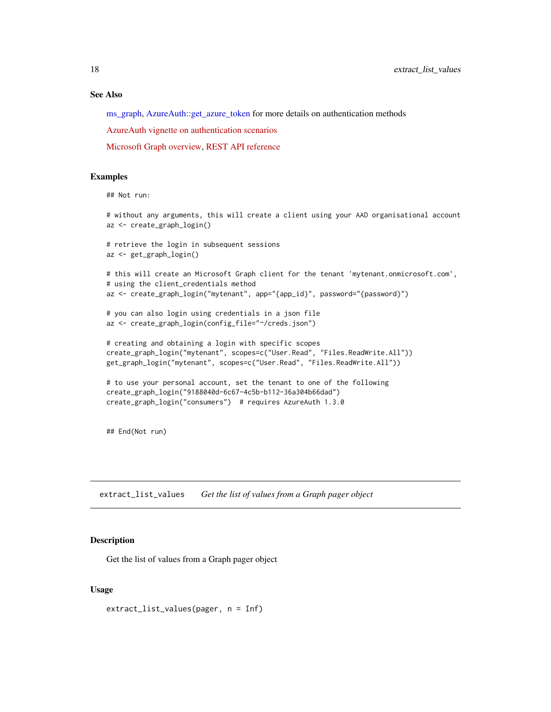# <span id="page-17-0"></span>See Also

[ms\\_graph,](#page-22-1) [AzureAuth::get\\_azure\\_token](#page-0-0) for more details on authentication methods

[AzureAuth vignette on authentication scenarios](https://cran.r-project.org/package=AzureAuth/vignettes/scenarios.html)

[Microsoft Graph overview,](https://docs.microsoft.com/en-us/graph/overview) [REST API reference](https://docs.microsoft.com/en-us/graph/api/overview?view=graph-rest-1.0)

# Examples

## Not run:

```
# without any arguments, this will create a client using your AAD organisational account
az <- create_graph_login()
# retrieve the login in subsequent sessions
az <- get_graph_login()
# this will create an Microsoft Graph client for the tenant 'mytenant.onmicrosoft.com',
# using the client_credentials method
az <- create_graph_login("mytenant", app="{app_id}", password="{password}")
# you can also login using credentials in a json file
az <- create_graph_login(config_file="~/creds.json")
# creating and obtaining a login with specific scopes
create_graph_login("mytenant", scopes=c("User.Read", "Files.ReadWrite.All"))
get_graph_login("mytenant", scopes=c("User.Read", "Files.ReadWrite.All"))
# to use your personal account, set the tenant to one of the following
create_graph_login("9188040d-6c67-4c5b-b112-36a304b66dad")
create_graph_login("consumers") # requires AzureAuth 1.3.0
```
## End(Not run)

<span id="page-17-1"></span>extract\_list\_values *Get the list of values from a Graph pager object*

#### **Description**

Get the list of values from a Graph pager object

#### Usage

extract\_list\_values(pager, n = Inf)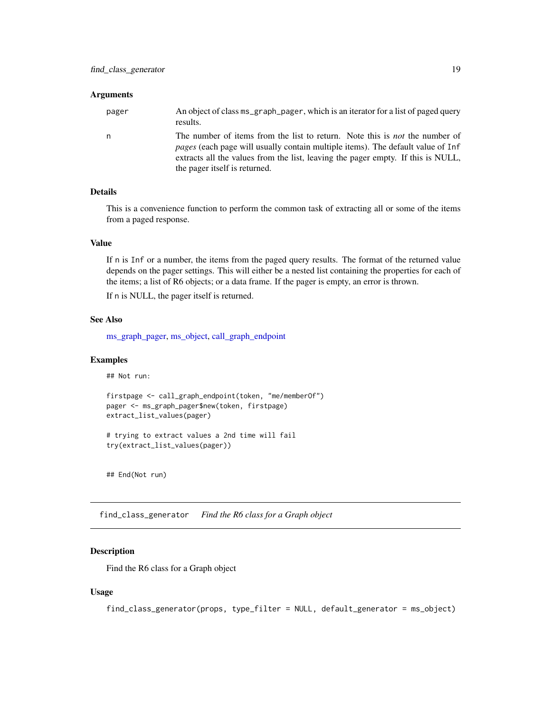#### <span id="page-18-0"></span>**Arguments**

| pager | An object of class ms_graph_pager, which is an iterator for a list of paged query<br>results.                                                                                                                                                                                                     |
|-------|---------------------------------------------------------------------------------------------------------------------------------------------------------------------------------------------------------------------------------------------------------------------------------------------------|
| n     | The number of items from the list to return. Note this is <i>not</i> the number of<br><i>pages</i> (each page will usually contain multiple items). The default value of Inf<br>extracts all the values from the list, leaving the pager empty. If this is NULL,<br>the pager itself is returned. |

# Details

This is a convenience function to perform the common task of extracting all or some of the items from a paged response.

# Value

If n is Inf or a number, the items from the paged query results. The format of the returned value depends on the pager settings. This will either be a nested list containing the properties for each of the items; a list of R6 objects; or a data frame. If the pager is empty, an error is thrown.

If n is NULL, the pager itself is returned.

#### See Also

[ms\\_graph\\_pager,](#page-25-1) [ms\\_object,](#page-27-1) [call\\_graph\\_endpoint](#page-13-1)

#### Examples

## Not run:

```
firstpage <- call_graph_endpoint(token, "me/memberOf")
pager <- ms_graph_pager$new(token, firstpage)
extract_list_values(pager)
```
# trying to extract values a 2nd time will fail try(extract\_list\_values(pager))

## End(Not run)

find\_class\_generator *Find the R6 class for a Graph object*

# Description

Find the R6 class for a Graph object

#### Usage

```
find_class_generator(props, type_filter = NULL, default_generator = ms_object)
```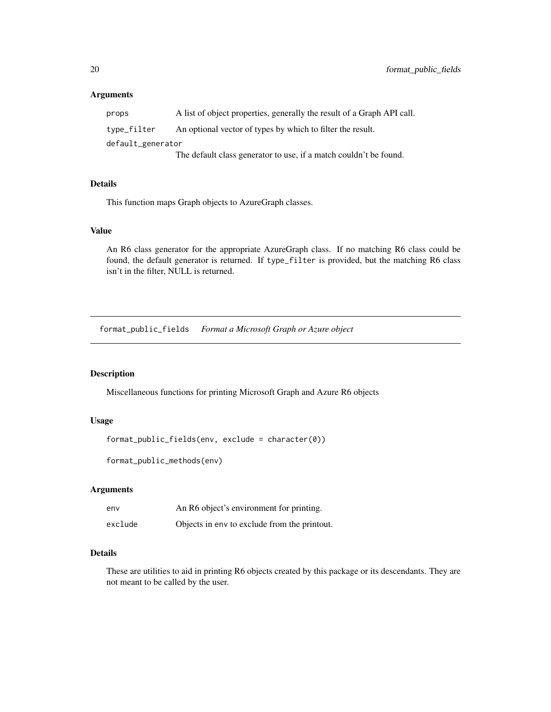#### <span id="page-19-0"></span>Arguments

| props             | A list of object properties, generally the result of a Graph API call. |  |  |  |  |  |
|-------------------|------------------------------------------------------------------------|--|--|--|--|--|
| type_filter       | An optional vector of types by which to filter the result.             |  |  |  |  |  |
| default_generator |                                                                        |  |  |  |  |  |
|                   | The defects class concerted to case. If a motels conditate be found    |  |  |  |  |  |

The default class generator to use, if a match couldn't be found.

# Details

This function maps Graph objects to AzureGraph classes.

# Value

An R6 class generator for the appropriate AzureGraph class. If no matching R6 class could be found, the default generator is returned. If type\_filter is provided, but the matching R6 class isn't in the filter, NULL is returned.

format\_public\_fields *Format a Microsoft Graph or Azure object*

# Description

Miscellaneous functions for printing Microsoft Graph and Azure R6 objects

# Usage

```
format_public_fields(env, exclude = character(0))
```
format\_public\_methods(env)

# Arguments

| env     | An R6 object's environment for printing.     |
|---------|----------------------------------------------|
| exclude | Objects in env to exclude from the printout. |

#### Details

These are utilities to aid in printing R6 objects created by this package or its descendants. They are not meant to be called by the user.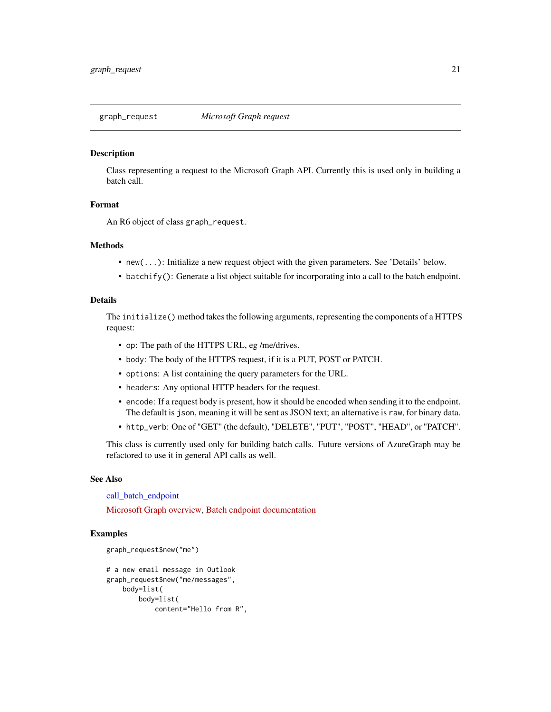<span id="page-20-1"></span><span id="page-20-0"></span>

#### Description

Class representing a request to the Microsoft Graph API. Currently this is used only in building a batch call.

# Format

An R6 object of class graph\_request.

# **Methods**

- new(...): Initialize a new request object with the given parameters. See 'Details' below.
- batchify(): Generate a list object suitable for incorporating into a call to the batch endpoint.

#### Details

The initialize() method takes the following arguments, representing the components of a HTTPS request:

- op: The path of the HTTPS URL, eg /me/drives.
- body: The body of the HTTPS request, if it is a PUT, POST or PATCH.
- options: A list containing the query parameters for the URL.
- headers: Any optional HTTP headers for the request.
- encode: If a request body is present, how it should be encoded when sending it to the endpoint. The default is json, meaning it will be sent as JSON text; an alternative is raw, for binary data.
- http\_verb: One of "GET" (the default), "DELETE", "PUT", "POST", "HEAD", or "PATCH".

This class is currently used only for building batch calls. Future versions of AzureGraph may be refactored to use it in general API calls as well.

#### See Also

[call\\_batch\\_endpoint](#page-12-1)

[Microsoft Graph overview,](https://docs.microsoft.com/en-us/graph/overview) [Batch endpoint documentation](https://docs.microsoft.com/en-us/graph/json-batching)

# Examples

```
graph_request$new("me")
# a new email message in Outlook
graph_request$new("me/messages",
   body=list(
       body=list(
            content="Hello from R",
```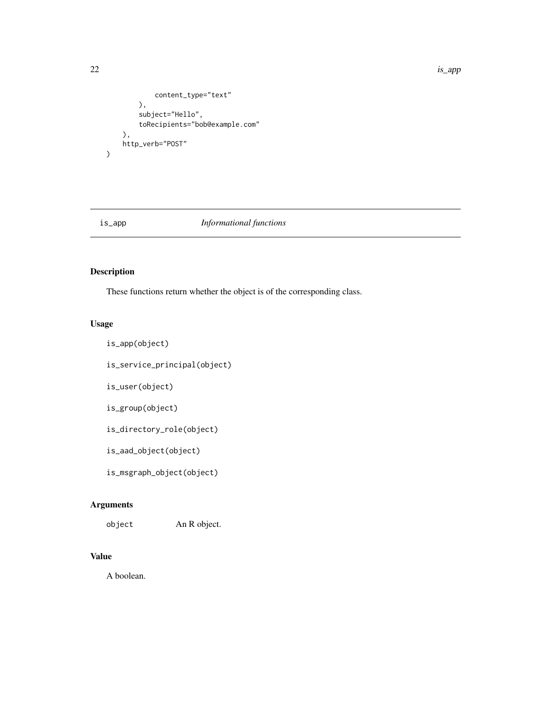<span id="page-21-0"></span>22 is  $\mu$  is  $\mu$  is  $\mu$  is  $\mu$  is  $\mu$  is  $\mu$  is  $\mu$  is  $\mu$  is  $\mu$  is  $\mu$  is  $\mu$  is  $\mu$  is  $\mu$  is  $\mu$  is  $\mu$  is  $\mu$  is  $\mu$  is  $\mu$  is  $\mu$  is  $\mu$  is  $\mu$  is  $\mu$  is  $\mu$  is  $\mu$  is  $\mu$  is  $\mu$  is  $\mu$  is

```
content_type="text"
        ),
        subject="Hello",
        toRecipients="bob@example.com"
    ),
   http_verb="POST"
)
```
is\_app *Informational functions*

# Description

These functions return whether the object is of the corresponding class.

# Usage

```
is_app(object)
```
is\_service\_principal(object)

is\_user(object)

```
is_group(object)
```
is\_directory\_role(object)

```
is_aad_object(object)
```
is\_msgraph\_object(object)

# Arguments

object An R object.

# Value

A boolean.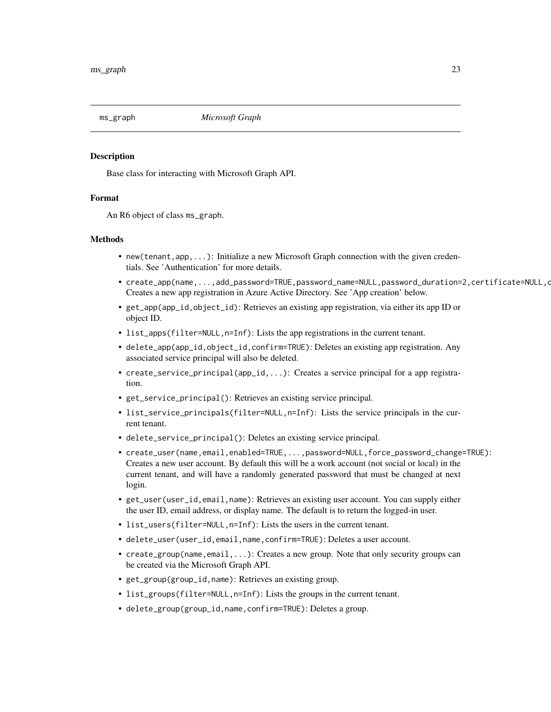<span id="page-22-1"></span><span id="page-22-0"></span>

#### Description

Base class for interacting with Microsoft Graph API.

# Format

An R6 object of class ms\_graph.

#### Methods

- new(tenant, app, ...): Initialize a new Microsoft Graph connection with the given credentials. See 'Authentication' for more details.
- create\_app(name,...,add\_password=TRUE,password\_name=NULL,password\_duration=2,certificate=NULL,c Creates a new app registration in Azure Active Directory. See 'App creation' below.
- get\_app(app\_id,object\_id): Retrieves an existing app registration, via either its app ID or object ID.
- list\_apps(filter=NULL,n=Inf): Lists the app registrations in the current tenant.
- delete\_app(app\_id,object\_id,confirm=TRUE): Deletes an existing app registration. Any associated service principal will also be deleted.
- create\_service\_principal(app\_id,...): Creates a service principal for a app registration.
- get\_service\_principal(): Retrieves an existing service principal.
- list\_service\_principals(filter=NULL,n=Inf): Lists the service principals in the current tenant.
- delete\_service\_principal(): Deletes an existing service principal.
- create\_user(name,email,enabled=TRUE,...,password=NULL,force\_password\_change=TRUE): Creates a new user account. By default this will be a work account (not social or local) in the current tenant, and will have a randomly generated password that must be changed at next login.
- get\_user(user\_id,email,name): Retrieves an existing user account. You can supply either the user ID, email address, or display name. The default is to return the logged-in user.
- list\_users(filter=NULL,n=Inf): Lists the users in the current tenant.
- delete\_user(user\_id,email,name,confirm=TRUE): Deletes a user account.
- create\_group(name, email,...): Creates a new group. Note that only security groups can be created via the Microsoft Graph API.
- get\_group(group\_id,name): Retrieves an existing group.
- list\_groups(filter=NULL, n=Inf): Lists the groups in the current tenant.
- delete\_group(group\_id,name,confirm=TRUE): Deletes a group.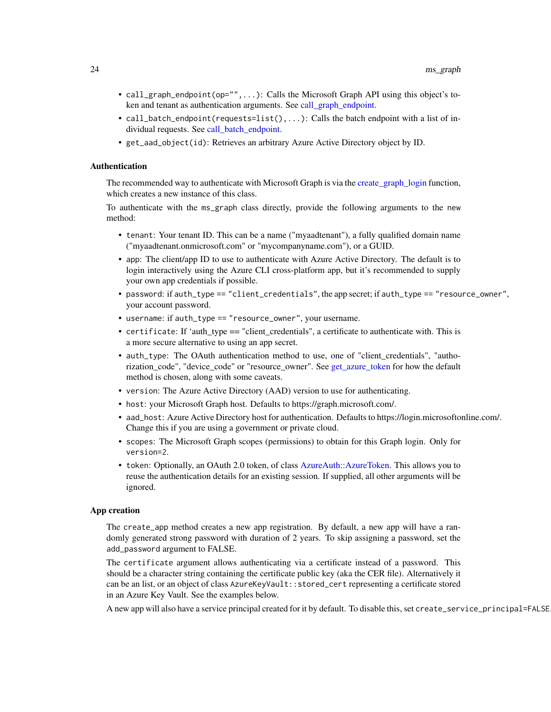- <span id="page-23-0"></span>• call\_graph\_endpoint(op="",...): Calls the Microsoft Graph API using this object's token and tenant as authentication arguments. See [call\\_graph\\_endpoint.](#page-13-1)
- call\_batch\_endpoint(requests=list(),...): Calls the batch endpoint with a list of individual requests. See [call\\_batch\\_endpoint.](#page-12-1)
- get\_aad\_object(id): Retrieves an arbitrary Azure Active Directory object by ID.

#### Authentication

The recommended way to authenticate with Microsoft Graph is via the [create\\_graph\\_login](#page-15-1) function, which creates a new instance of this class.

To authenticate with the ms\_graph class directly, provide the following arguments to the new method:

- tenant: Your tenant ID. This can be a name ("myaadtenant"), a fully qualified domain name ("myaadtenant.onmicrosoft.com" or "mycompanyname.com"), or a GUID.
- app: The client/app ID to use to authenticate with Azure Active Directory. The default is to login interactively using the Azure CLI cross-platform app, but it's recommended to supply your own app credentials if possible.
- password: if auth\_type == "client\_credentials", the app secret; if auth\_type == "resource\_owner", your account password.
- username: if auth\_type == "resource\_owner", your username.
- certificate: If 'auth\_type == "client\_credentials", a certificate to authenticate with. This is a more secure alternative to using an app secret.
- auth\_type: The OAuth authentication method to use, one of "client\_credentials", "authorization\_code", "device\_code" or "resource\_owner". See [get\\_azure\\_token](#page-0-0) for how the default method is chosen, along with some caveats.
- version: The Azure Active Directory (AAD) version to use for authenticating.
- host: your Microsoft Graph host. Defaults to https://graph.microsoft.com/.
- aad\_host: Azure Active Directory host for authentication. Defaults to https://login.microsoftonline.com/. Change this if you are using a government or private cloud.
- scopes: The Microsoft Graph scopes (permissions) to obtain for this Graph login. Only for version=2.
- token: Optionally, an OAuth 2.0 token, of class [AzureAuth::AzureToken.](#page-0-0) This allows you to reuse the authentication details for an existing session. If supplied, all other arguments will be ignored.

#### App creation

The create\_app method creates a new app registration. By default, a new app will have a randomly generated strong password with duration of 2 years. To skip assigning a password, set the add\_password argument to FALSE.

The certificate argument allows authenticating via a certificate instead of a password. This should be a character string containing the certificate public key (aka the CER file). Alternatively it can be an list, or an object of class AzureKeyVault::stored\_cert representing a certificate stored in an Azure Key Vault. See the examples below.

A new app will also have a service principal created for it by default. To disable this, set create\_service\_principal=FALSE.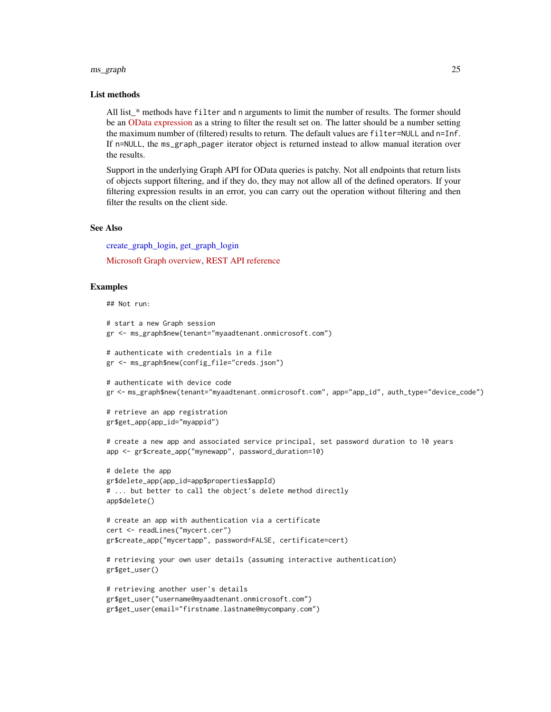#### <span id="page-24-0"></span>ms\_graph 25

#### List methods

All list\_\* methods have filter and n arguments to limit the number of results. The former should be an [OData expression](https://docs.microsoft.com/en-us/graph/query-parameters#filter-parameter) as a string to filter the result set on. The latter should be a number setting the maximum number of (filtered) results to return. The default values are filter=NULL and n=Inf. If n=NULL, the ms\_graph\_pager iterator object is returned instead to allow manual iteration over the results.

Support in the underlying Graph API for OData queries is patchy. Not all endpoints that return lists of objects support filtering, and if they do, they may not allow all of the defined operators. If your filtering expression results in an error, you can carry out the operation without filtering and then filter the results on the client side.

#### See Also

[create\\_graph\\_login,](#page-15-1) [get\\_graph\\_login](#page-15-2) [Microsoft Graph overview,](https://docs.microsoft.com/en-us/graph/overview) [REST API reference](https://docs.microsoft.com/en-us/graph/api/overview?view=graph-rest-1.0)

#### Examples

## Not run:

```
# start a new Graph session
gr <- ms_graph$new(tenant="myaadtenant.onmicrosoft.com")
# authenticate with credentials in a file
gr <- ms_graph$new(config_file="creds.json")
# authenticate with device code
gr <- ms_graph$new(tenant="myaadtenant.onmicrosoft.com", app="app_id", auth_type="device_code")
# retrieve an app registration
gr$get_app(app_id="myappid")
# create a new app and associated service principal, set password duration to 10 years
app <- gr$create_app("mynewapp", password_duration=10)
# delete the app
gr$delete_app(app_id=app$properties$appId)
# ... but better to call the object's delete method directly
app$delete()
# create an app with authentication via a certificate
cert <- readLines("mycert.cer")
gr$create_app("mycertapp", password=FALSE, certificate=cert)
# retrieving your own user details (assuming interactive authentication)
gr$get_user()
# retrieving another user's details
gr$get_user("username@myaadtenant.onmicrosoft.com")
```

```
gr$get_user(email="firstname.lastname@mycompany.com")
```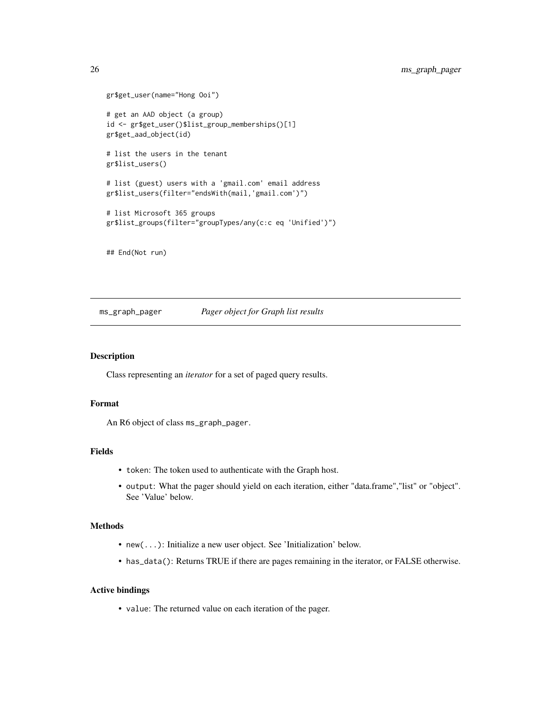```
gr$get_user(name="Hong Ooi")
# get an AAD object (a group)
id <- gr$get_user()$list_group_memberships()[1]
gr$get_aad_object(id)
# list the users in the tenant
gr$list_users()
# list (guest) users with a 'gmail.com' email address
gr$list_users(filter="endsWith(mail,'gmail.com')")
# list Microsoft 365 groups
gr$list_groups(filter="groupTypes/any(c:c eq 'Unified')")
```
## End(Not run)

<span id="page-25-1"></span>ms\_graph\_pager *Pager object for Graph list results*

# Description

Class representing an *iterator* for a set of paged query results.

#### Format

An R6 object of class ms\_graph\_pager.

#### Fields

- token: The token used to authenticate with the Graph host.
- output: What the pager should yield on each iteration, either "data.frame","list" or "object". See 'Value' below.

#### Methods

- new(...): Initialize a new user object. See 'Initialization' below.
- has\_data(): Returns TRUE if there are pages remaining in the iterator, or FALSE otherwise.

#### Active bindings

• value: The returned value on each iteration of the pager.

<span id="page-25-0"></span>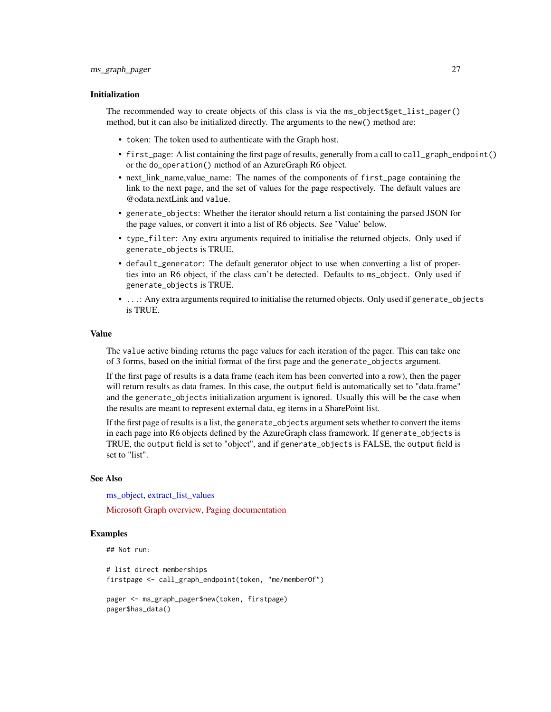#### <span id="page-26-0"></span>Initialization

The recommended way to create objects of this class is via the ms\_object\$get\_list\_pager() method, but it can also be initialized directly. The arguments to the new() method are:

- token: The token used to authenticate with the Graph host.
- first\_page: A list containing the first page of results, generally from a call to call\_graph\_endpoint() or the do\_operation() method of an AzureGraph R6 object.
- next\_link\_name,value\_name: The names of the components of first\_page containing the link to the next page, and the set of values for the page respectively. The default values are @odata.nextLink and value.
- generate\_objects: Whether the iterator should return a list containing the parsed JSON for the page values, or convert it into a list of R6 objects. See 'Value' below.
- type\_filter: Any extra arguments required to initialise the returned objects. Only used if generate\_objects is TRUE.
- default\_generator: The default generator object to use when converting a list of properties into an R6 object, if the class can't be detected. Defaults to ms\_object. Only used if generate\_objects is TRUE.
- ...: Any extra arguments required to initialise the returned objects. Only used if generate\_objects is TRUE.

#### Value

The value active binding returns the page values for each iteration of the pager. This can take one of 3 forms, based on the initial format of the first page and the generate\_objects argument.

If the first page of results is a data frame (each item has been converted into a row), then the pager will return results as data frames. In this case, the output field is automatically set to "data.frame" and the generate\_objects initialization argument is ignored. Usually this will be the case when the results are meant to represent external data, eg items in a SharePoint list.

If the first page of results is a list, the generate\_objects argument sets whether to convert the items in each page into R6 objects defined by the AzureGraph class framework. If generate\_objects is TRUE, the output field is set to "object", and if generate\_objects is FALSE, the output field is set to "list".

#### See Also

[ms\\_object,](#page-27-1) [extract\\_list\\_values](#page-17-1)

[Microsoft Graph overview,](https://docs.microsoft.com/en-us/graph/overview) [Paging documentation](https://docs.microsoft.com/en-us/graph/paging)

# Examples

```
## Not run:
```

```
# list direct memberships
firstpage <- call_graph_endpoint(token, "me/memberOf")
pager <- ms_graph_pager$new(token, firstpage)
```

```
pager$has_data()
```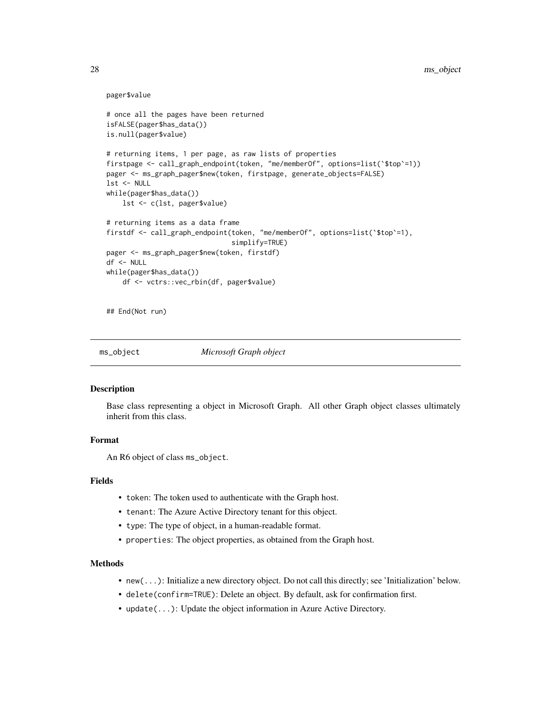#### <span id="page-27-0"></span>pager\$value

```
# once all the pages have been returned
isFALSE(pager$has_data())
is.null(pager$value)
# returning items, 1 per page, as raw lists of properties
firstpage <- call_graph_endpoint(token, "me/memberOf", options=list(`$top`=1))
pager <- ms_graph_pager$new(token, firstpage, generate_objects=FALSE)
lst <- NULL
while(pager$has_data())
    lst <- c(lst, pager$value)
# returning items as a data frame
firstdf <- call_graph_endpoint(token, "me/memberOf", options=list(`$top`=1),
                               simplify=TRUE)
pager <- ms_graph_pager$new(token, firstdf)
df <- NULL
while(pager$has_data())
    df <- vctrs::vec_rbin(df, pager$value)
```
## End(Not run)

<span id="page-27-1"></span>ms\_object *Microsoft Graph object*

#### Description

Base class representing a object in Microsoft Graph. All other Graph object classes ultimately inherit from this class.

# Format

An R6 object of class ms\_object.

# Fields

- token: The token used to authenticate with the Graph host.
- tenant: The Azure Active Directory tenant for this object.
- type: The type of object, in a human-readable format.
- properties: The object properties, as obtained from the Graph host.

# Methods

- new(...): Initialize a new directory object. Do not call this directly; see 'Initialization' below.
- delete(confirm=TRUE): Delete an object. By default, ask for confirmation first.
- update(...): Update the object information in Azure Active Directory.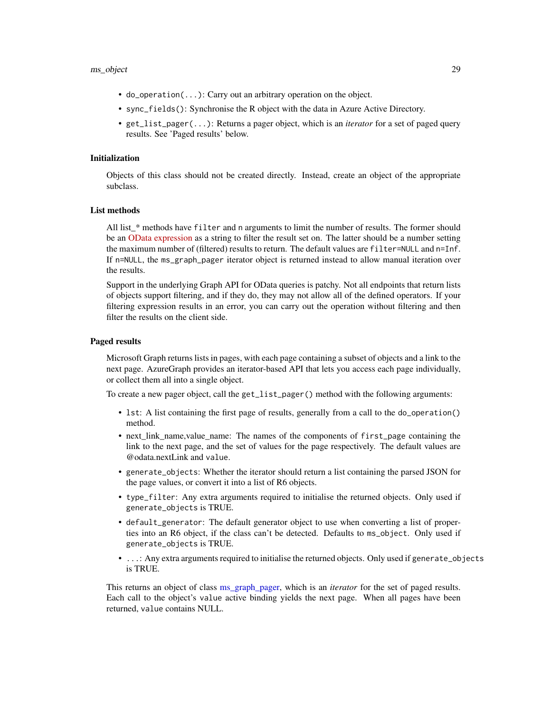#### <span id="page-28-0"></span>ms\_object 29

- do\_operation(...): Carry out an arbitrary operation on the object.
- sync\_fields(): Synchronise the R object with the data in Azure Active Directory.
- get\_list\_pager(...): Returns a pager object, which is an *iterator* for a set of paged query results. See 'Paged results' below.

# Initialization

Objects of this class should not be created directly. Instead, create an object of the appropriate subclass.

# List methods

All list\_\* methods have filter and n arguments to limit the number of results. The former should be an [OData expression](https://docs.microsoft.com/en-us/graph/query-parameters#filter-parameter) as a string to filter the result set on. The latter should be a number setting the maximum number of (filtered) results to return. The default values are filter=NULL and n=Inf. If n=NULL, the ms\_graph\_pager iterator object is returned instead to allow manual iteration over the results.

Support in the underlying Graph API for OData queries is patchy. Not all endpoints that return lists of objects support filtering, and if they do, they may not allow all of the defined operators. If your filtering expression results in an error, you can carry out the operation without filtering and then filter the results on the client side.

#### Paged results

Microsoft Graph returns lists in pages, with each page containing a subset of objects and a link to the next page. AzureGraph provides an iterator-based API that lets you access each page individually, or collect them all into a single object.

To create a new pager object, call the get\_list\_pager() method with the following arguments:

- 1st: A list containing the first page of results, generally from a call to the do\_operation() method.
- next\_link\_name,value\_name: The names of the components of first\_page containing the link to the next page, and the set of values for the page respectively. The default values are @odata.nextLink and value.
- generate\_objects: Whether the iterator should return a list containing the parsed JSON for the page values, or convert it into a list of R6 objects.
- type\_filter: Any extra arguments required to initialise the returned objects. Only used if generate\_objects is TRUE.
- default\_generator: The default generator object to use when converting a list of properties into an R6 object, if the class can't be detected. Defaults to ms\_object. Only used if generate\_objects is TRUE.
- ...: Any extra arguments required to initialise the returned objects. Only used if generate\_objects is TRUE.

This returns an object of class [ms\\_graph\\_pager,](#page-25-1) which is an *iterator* for the set of paged results. Each call to the object's value active binding yields the next page. When all pages have been returned, value contains NULL.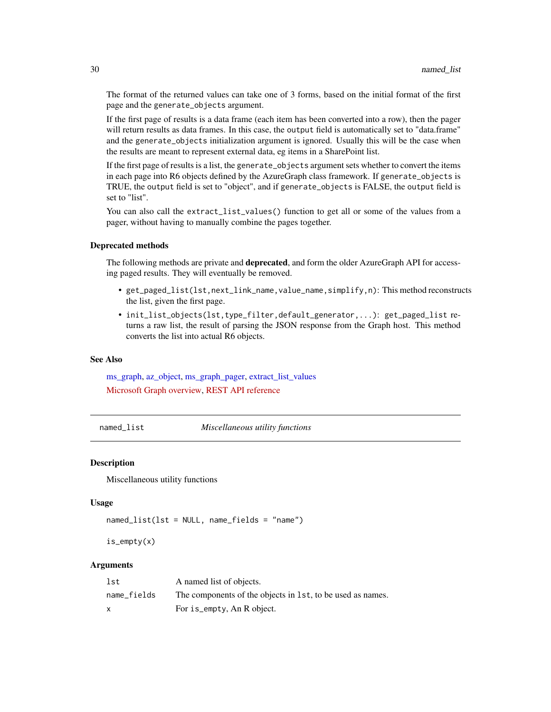The format of the returned values can take one of 3 forms, based on the initial format of the first page and the generate\_objects argument.

If the first page of results is a data frame (each item has been converted into a row), then the pager will return results as data frames. In this case, the output field is automatically set to "data.frame" and the generate\_objects initialization argument is ignored. Usually this will be the case when the results are meant to represent external data, eg items in a SharePoint list.

If the first page of results is a list, the generate\_objects argument sets whether to convert the items in each page into R6 objects defined by the AzureGraph class framework. If generate\_objects is TRUE, the output field is set to "object", and if generate\_objects is FALSE, the output field is set to "list".

You can also call the extract\_list\_values() function to get all or some of the values from a pager, without having to manually combine the pages together.

#### Deprecated methods

The following methods are private and **deprecated**, and form the older AzureGraph API for accessing paged results. They will eventually be removed.

- get\_paged\_list(lst,next\_link\_name,value\_name,simplify,n): This method reconstructs the list, given the first page.
- init\_list\_objects(lst,type\_filter,default\_generator,...): get\_paged\_list returns a raw list, the result of parsing the JSON response from the Graph host. This method converts the list into actual R6 objects.

#### See Also

[ms\\_graph,](#page-22-1) [az\\_object,](#page-7-1) [ms\\_graph\\_pager,](#page-25-1) [extract\\_list\\_values](#page-17-1) [Microsoft Graph overview,](https://docs.microsoft.com/en-us/graph/overview) [REST API reference](https://docs.microsoft.com/en-us/graph/api/overview?view=graph-rest-1.0)

named\_list *Miscellaneous utility functions*

#### Description

Miscellaneous utility functions

#### Usage

named\_list(lst = NULL, name\_fields = "name")

```
is\_empty(x)
```
#### Arguments

| lst         | A named list of objects.                                   |
|-------------|------------------------------------------------------------|
| name fields | The components of the objects in 1st, to be used as names. |
| X           | For is_empty, An R object.                                 |

<span id="page-29-0"></span>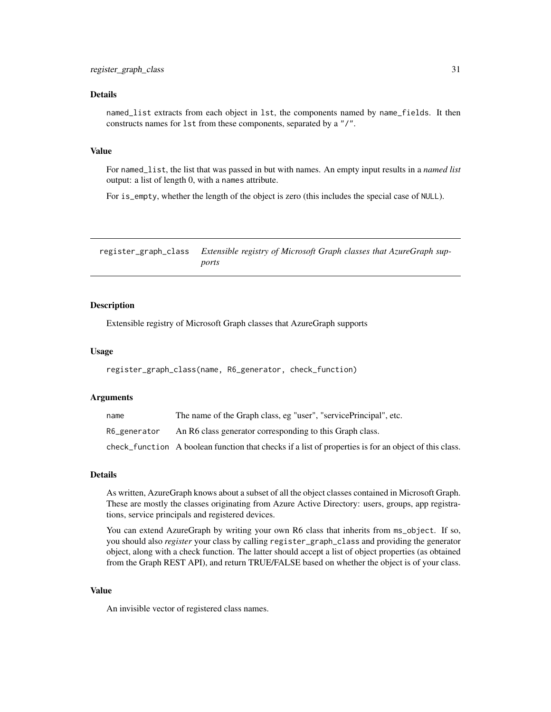#### <span id="page-30-0"></span>Details

named\_list extracts from each object in lst, the components named by name\_fields. It then constructs names for lst from these components, separated by a "/".

#### Value

For named\_list, the list that was passed in but with names. An empty input results in a *named list* output: a list of length 0, with a names attribute.

For is\_empty, whether the length of the object is zero (this includes the special case of NULL).

register\_graph\_class *Extensible registry of Microsoft Graph classes that AzureGraph supports*

#### Description

Extensible registry of Microsoft Graph classes that AzureGraph supports

#### Usage

register\_graph\_class(name, R6\_generator, check\_function)

#### Arguments

| name         | The name of the Graph class, eg "user", "servicePrincipal", etc.                                      |
|--------------|-------------------------------------------------------------------------------------------------------|
| R6_generator | An R6 class generator corresponding to this Graph class.                                              |
|              | check_function A boolean function that checks if a list of properties is for an object of this class. |

#### Details

As written, AzureGraph knows about a subset of all the object classes contained in Microsoft Graph. These are mostly the classes originating from Azure Active Directory: users, groups, app registrations, service principals and registered devices.

You can extend AzureGraph by writing your own R6 class that inherits from ms\_object. If so, you should also *register* your class by calling register\_graph\_class and providing the generator object, along with a check function. The latter should accept a list of object properties (as obtained from the Graph REST API), and return TRUE/FALSE based on whether the object is of your class.

#### Value

An invisible vector of registered class names.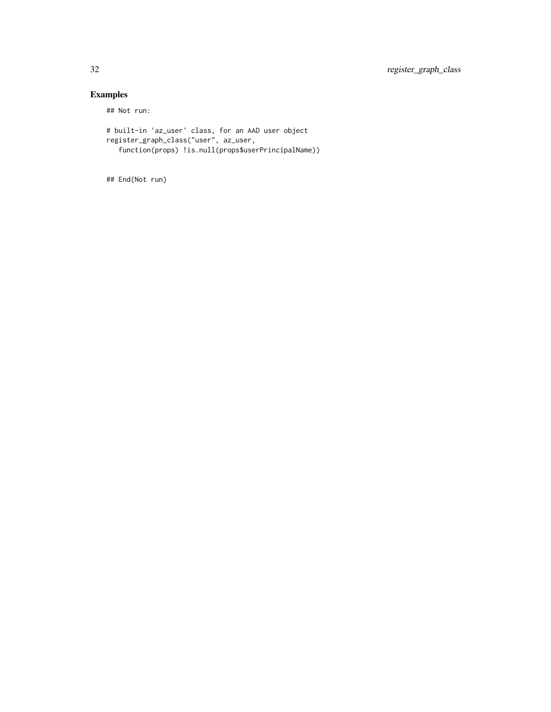# Examples

## Not run:

```
# built-in 'az_user' class, for an AAD user object
register_graph_class("user", az_user,
  function(props) !is.null(props$userPrincipalName))
```
## End(Not run)